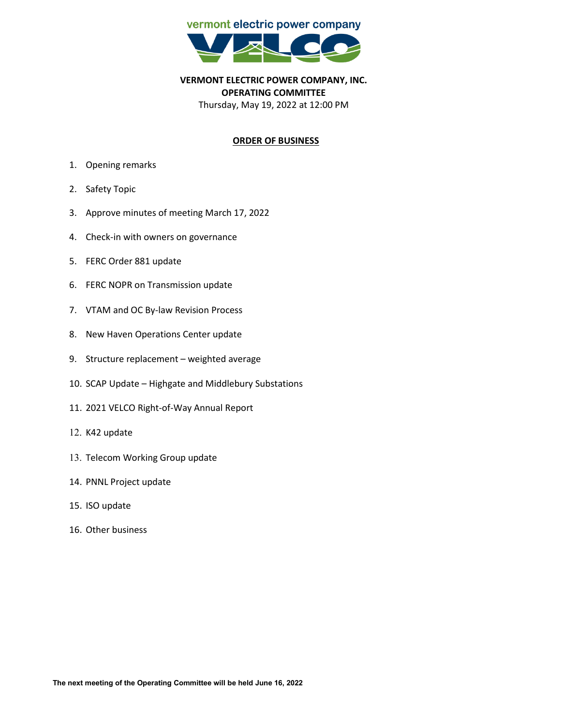

**VERMONT ELECTRIC POWER COMPANY, INC. OPERATING COMMITTEE** Thursday, May 19, 2022 at 12:00 PM

## **ORDER OF BUSINESS**

- 1. Opening remarks
- 2. Safety Topic
- 3. Approve minutes of meeting March 17, 2022
- 4. Check-in with owners on governance
- 5. FERC Order 881 update
- 6. FERC NOPR on Transmission update
- 7. VTAM and OC By-law Revision Process
- 8. New Haven Operations Center update
- 9. Structure replacement weighted average
- 10. SCAP Update Highgate and Middlebury Substations
- 11. 2021 VELCO Right-of-Way Annual Report
- 12. K42 update
- 13. Telecom Working Group update
- 14. PNNL Project update
- 15. ISO update
- 16. Other business